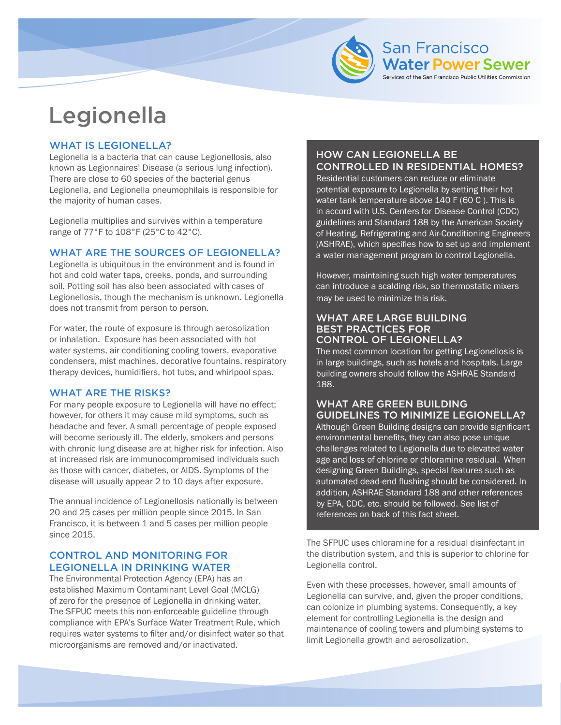

# Legionella

# WHAT IS LEGIONELLA?

Legionella is a bacteria that can cause Legionellosis, also known as Legionnaires' Disease (a serious lung infection). There are close to 60 species of the bacterial genus Legionella, and Legionella pneumophilais is responsible for the majority of human cases.

Legionella multiplies and survives within a temperature range of 77°F to 108°F (25°C to 42°C).

# WHAT ARE THE SOURCES OF LEGIONELLA?

Legionella is ubiquitous in the environment and is found in hot and cold water taps, creeks, ponds, and surrounding soil. Potting soil has also been associated with cases of Legionellosis, though the mechanism is unknown. Legionella does not transmit from person to person.

For water, the route of exposure is through aerosolization or inhalation. Exposure has been associated with hot water systems, air conditioning cooling towers, evaporative condensers, mist machines, decorative fountains, respiratory therapy devices, humidifiers, hot tubs, and whirlpool spas.

# WHAT ARE THE RISKS?

For many people exposure to Legionella will have no effect; however, for others it may cause mild symptoms, such as headache and fever. A small percentage of people exposed will become seriously ill. The elderly, smokers and persons with chronic lung disease are at higher risk for infection. Also at increased risk are immunocompromised individuals such as those with cancer, diabetes, or AIDS. Symptoms of the disease will usually appear 2 to 10 days after exposure.

The annual incidence of Legionellosis nationally is between 20 and 25 cases per million people since 2015. In San Francisco, it is between 1 and 5 cases per million people since 2015.

## CONTROL AND MONITORING FOR LEGIONELLA IN DRINKING WATER

The Environmental Protection Agency (EPA) has an established Maximum Contaminant Level Goal (MCLG) of zero for the presence of Legionella in drinking water. The SFPUC meets this non-enforceable guideline through compliance with EPA's Surface Water Treatment Rule, which requires water systems to filter and/or disinfect water so that microorganisms are removed and/or inactivated.

# HOW CAN LEGIONELLA BE CONTROLLED IN RESIDENTIAL HOMES?

**San Francisco** 

**Water Power Sewer** of the San Francisco Public Utilities Commission

Residential customers can reduce or eliminate potential exposure to Legionella by setting their hot water tank temperature above 140 F (60 C ). This is in accord with U.S. Centers for Disease Control (CDC) guidelines and Standard 188 by the American Society of Heating, Refrigerating and Air-Conditioning Engineers (ASHRAE), which specifies how to set up and implement a water management program to control Legionella.

However, maintaining such high water temperatures can introduce a scalding risk, so thermostatic mixers may be used to minimize this risk.

#### WHAT ARE LARGE BUILDING BEST PRACTICES FOR CONTROL OF LEGIONELLA?

The most common location for getting Legionellosis is in large buildings, such as hotels and hospitals. Large building owners should follow the ASHRAE Standard 188.

#### WHAT ARE GREEN BUILDING GUIDELINES TO MINIMIZE LEGIONELLA?

Although Green Building designs can provide significant environmental benefits, they can also pose unique challenges related to Legionella due to elevated water age and loss of chlorine or chloramine residual. When designing Green Buildings, special features such as automated dead-end flushing should be considered. In addition, ASHRAE Standard 188 and other references by EPA, CDC, etc. should be followed. See list of references on back of this fact sheet.

The SFPUC uses chloramine for a residual disinfectant in the distribution system, and this is superior to chlorine for Legionella control.

Even with these processes, however, small amounts of Legionella can survive, and, given the proper conditions, can colonize in plumbing systems. Consequently, a key element for controlling Legionella is the design and maintenance of cooling towers and plumbing systems to limit Legionella growth and aerosolization.